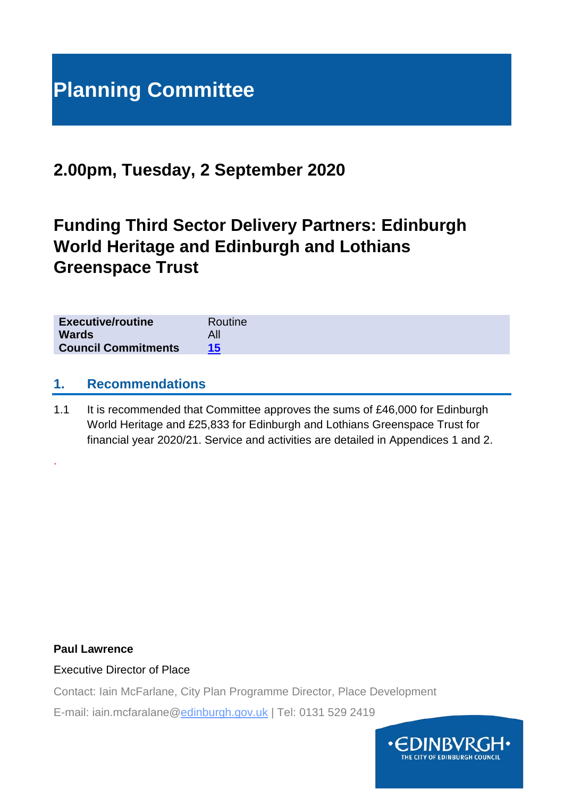# **Planning Committee**

## **2.00pm, Tuesday, 2 September 2020**

# **Funding Third Sector Delivery Partners: Edinburgh World Heritage and Edinburgh and Lothians Greenspace Trust**

| <b>Executive/routine</b>   | Routine |
|----------------------------|---------|
| <b>Wards</b>               |         |
| <b>Council Commitments</b> |         |

#### **1. Recommendations**

1.1 It is recommended that Committee approves the sums of £46,000 for Edinburgh World Heritage and £25,833 for Edinburgh and Lothians Greenspace Trust for financial year 2020/21. Service and activities are detailed in Appendices 1 and 2.

#### **Paul Lawrence**

.

#### Executive Director of Place

Contact: Iain McFarlane, City Plan Programme Director, Place Development

E-mail: iain.mcfaralane@edinburgh.gov.uk | Tel: 0131 529 2419

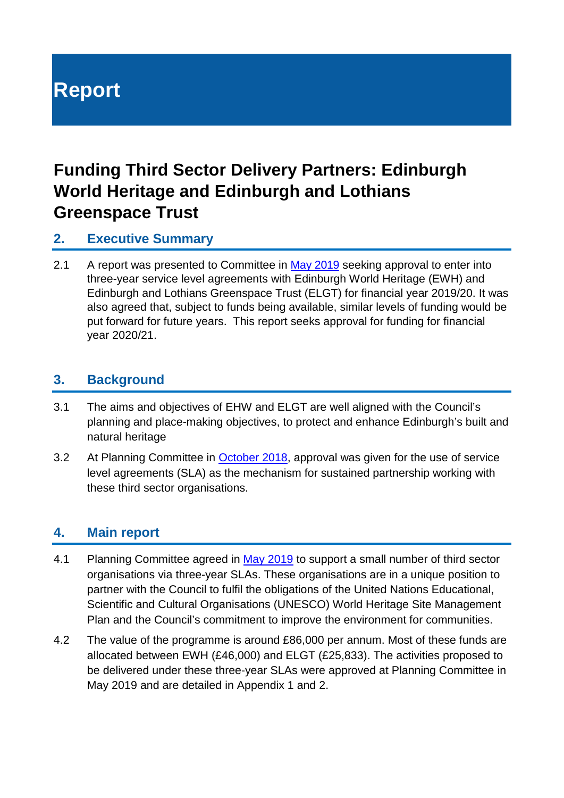# **Report**

# **Funding Third Sector Delivery Partners: Edinburgh World Heritage and Edinburgh and Lothians Greenspace Trust**

#### **2. Executive Summary**

2.1 A report was presented to Committee in [May 2019](https://democracy.edinburgh.gov.uk/Data/Planning%20Committee/20190515/Agenda/item_83_-_funding_third_sector_delivery_partners_edinburgh_world_heritage_and_edinburgh_and_lothians_greenspace_trust.pdf) seeking approval to enter into three-year service level agreements with Edinburgh World Heritage (EWH) and Edinburgh and Lothians Greenspace Trust (ELGT) for financial year 2019/20. It was also agreed that, subject to funds being available, similar levels of funding would be put forward for future years. This report seeks approval for funding for financial year 2020/21.

#### **3. Background**

- 3.1 The aims and objectives of EHW and ELGT are well aligned with the Council's planning and place-making objectives, to protect and enhance Edinburgh's built and natural heritage
- 3.2 At Planning Committee in [October 2018,](https://democracy.edinburgh.gov.uk/Data/Planning%20Committee/20181003/Agenda/item_71_-_new_arrangements_for_funding_third_sector_delivery_partners.pdf) approval was given for the use of service level agreements (SLA) as the mechanism for sustained partnership working with these third sector organisations.

#### **4. Main report**

- 4.1 Planning Committee agreed in [May 2019](https://democracy.edinburgh.gov.uk/Data/Planning%20Committee/20190515/Agenda/item_83_-_funding_third_sector_delivery_partners_edinburgh_world_heritage_and_edinburgh_and_lothians_greenspace_trust.pdf) to support a small number of third sector organisations via three-year SLAs. These organisations are in a unique position to partner with the Council to fulfil the obligations of the United Nations Educational, Scientific and Cultural Organisations (UNESCO) World Heritage Site Management Plan and the Council's commitment to improve the environment for communities.
- 4.2 The value of the programme is around £86,000 per annum. Most of these funds are allocated between EWH (£46,000) and ELGT (£25,833). The activities proposed to be delivered under these three-year SLAs were approved at Planning Committee in May 2019 and are detailed in Appendix 1 and 2.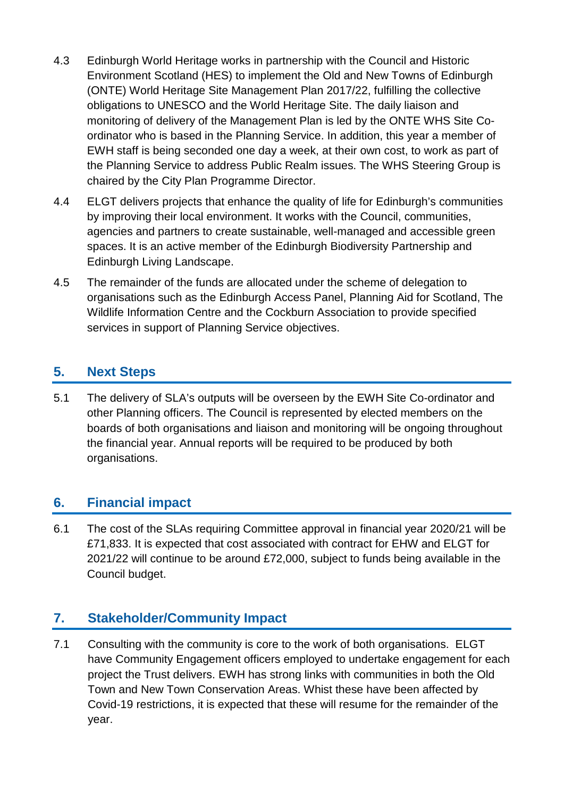- 4.3 Edinburgh World Heritage works in partnership with the Council and Historic Environment Scotland (HES) to implement the Old and New Towns of Edinburgh (ONTE) World Heritage Site Management Plan 2017/22, fulfilling the collective obligations to UNESCO and the World Heritage Site. The daily liaison and monitoring of delivery of the Management Plan is led by the ONTE WHS Site Coordinator who is based in the Planning Service. In addition, this year a member of EWH staff is being seconded one day a week, at their own cost, to work as part of the Planning Service to address Public Realm issues. The WHS Steering Group is chaired by the City Plan Programme Director.
- 4.4 ELGT delivers projects that enhance the quality of life for Edinburgh's communities by improving their local environment. It works with the Council, communities, agencies and partners to create sustainable, well-managed and accessible green spaces. It is an active member of the Edinburgh Biodiversity Partnership and Edinburgh Living Landscape.
- 4.5 The remainder of the funds are allocated under the scheme of delegation to organisations such as the Edinburgh Access Panel, Planning Aid for Scotland, The Wildlife Information Centre and the Cockburn Association to provide specified services in support of Planning Service objectives.

### **5. Next Steps**

5.1 The delivery of SLA's outputs will be overseen by the EWH Site Co-ordinator and other Planning officers. The Council is represented by elected members on the boards of both organisations and liaison and monitoring will be ongoing throughout the financial year. Annual reports will be required to be produced by both organisations.

## **6. Financial impact**

6.1 The cost of the SLAs requiring Committee approval in financial year 2020/21 will be £71,833. It is expected that cost associated with contract for EHW and ELGT for 2021/22 will continue to be around £72,000, subject to funds being available in the Council budget.

## **7. Stakeholder/Community Impact**

7.1 Consulting with the community is core to the work of both organisations. ELGT have Community Engagement officers employed to undertake engagement for each project the Trust delivers. EWH has strong links with communities in both the Old Town and New Town Conservation Areas. Whist these have been affected by Covid-19 restrictions, it is expected that these will resume for the remainder of the year.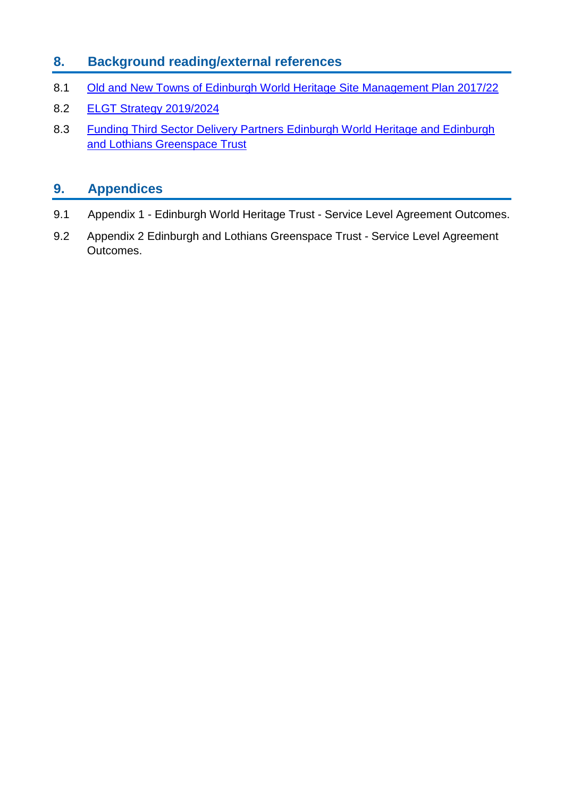## **8. Background reading/external references**

- 8.1 [Old and New Towns of Edinburgh World Heritage Site Management Plan 2017/22](https://ewh.org.uk/plan/)
- 8.2 [ELGT Strategy 2019/2024](http://www.elgt.org.uk/uploads/downloads/Strategic%20Plan%202019-2024.pdf)
- 8.3 Funding Third Sector Delivery Partners Edinburgh World Heritage and Edinburgh and Lothians Greenspace Trust

## **9. Appendices**

- 9.1 Appendix 1 Edinburgh World Heritage Trust Service Level Agreement Outcomes.
- 9.2 Appendix 2 Edinburgh and Lothians Greenspace Trust Service Level Agreement Outcomes.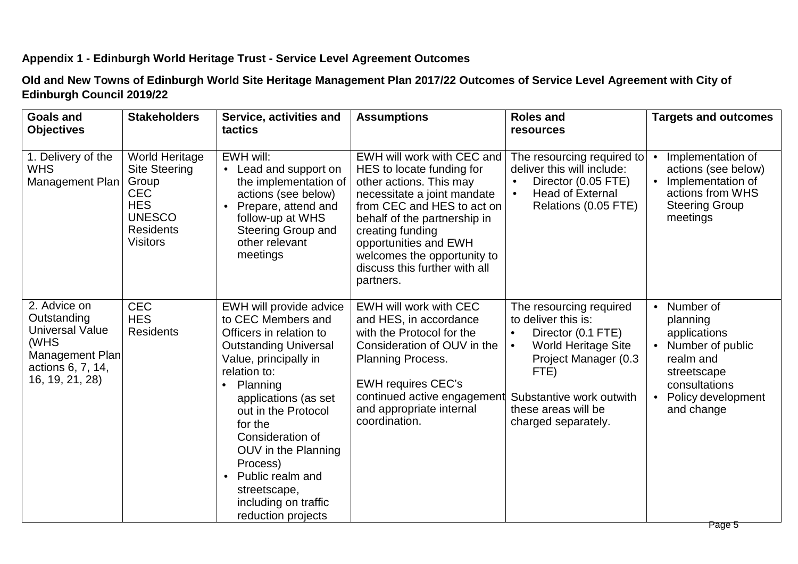#### **Appendix 1 - Edinburgh World Heritage Trust - Service Level Agreement Outcomes**

**Old and New Towns of Edinburgh World Site Heritage Management Plan 2017/22 Outcomes of Service Level Agreement with City of Edinburgh Council 2019/22**

| <b>Goals and</b><br><b>Objectives</b>                                                                                    | <b>Stakeholders</b>                                                                                                                        | Service, activities and<br>tactics                                                                                                                                                                                                                                                                                                                                            | <b>Assumptions</b>                                                                                                                                                                                                                                                                                        | <b>Roles and</b><br>resources                                                                                                                                                                                                          | <b>Targets and outcomes</b>                                                                                                                                                       |
|--------------------------------------------------------------------------------------------------------------------------|--------------------------------------------------------------------------------------------------------------------------------------------|-------------------------------------------------------------------------------------------------------------------------------------------------------------------------------------------------------------------------------------------------------------------------------------------------------------------------------------------------------------------------------|-----------------------------------------------------------------------------------------------------------------------------------------------------------------------------------------------------------------------------------------------------------------------------------------------------------|----------------------------------------------------------------------------------------------------------------------------------------------------------------------------------------------------------------------------------------|-----------------------------------------------------------------------------------------------------------------------------------------------------------------------------------|
| 1. Delivery of the<br><b>WHS</b><br>Management Plan                                                                      | <b>World Heritage</b><br><b>Site Steering</b><br>Group<br><b>CEC</b><br><b>HES</b><br><b>UNESCO</b><br><b>Residents</b><br><b>Visitors</b> | EWH will:<br>Lead and support on<br>$\bullet$<br>the implementation of<br>actions (see below)<br>Prepare, attend and<br>$\bullet$<br>follow-up at WHS<br><b>Steering Group and</b><br>other relevant<br>meetings                                                                                                                                                              | EWH will work with CEC and<br>HES to locate funding for<br>other actions. This may<br>necessitate a joint mandate<br>from CEC and HES to act on<br>behalf of the partnership in<br>creating funding<br>opportunities and EWH<br>welcomes the opportunity to<br>discuss this further with all<br>partners. | The resourcing required to<br>deliver this will include:<br>Director (0.05 FTE)<br>$\bullet$<br><b>Head of External</b><br>$\bullet$<br>Relations (0.05 FTE)                                                                           | Implementation of<br>actions (see below)<br>Implementation of<br>actions from WHS<br><b>Steering Group</b><br>meetings                                                            |
| 2. Advice on<br>Outstanding<br><b>Universal Value</b><br>(WHS<br>Management Plan<br>actions 6, 7, 14,<br>16, 19, 21, 28) | <b>CEC</b><br><b>HES</b><br><b>Residents</b>                                                                                               | EWH will provide advice<br>to CEC Members and<br>Officers in relation to<br><b>Outstanding Universal</b><br>Value, principally in<br>relation to:<br>Planning<br>applications (as set<br>out in the Protocol<br>for the<br>Consideration of<br>OUV in the Planning<br>Process)<br>Public realm and<br>$\bullet$<br>streetscape,<br>including on traffic<br>reduction projects | EWH will work with CEC<br>and HES, in accordance<br>with the Protocol for the<br>Consideration of OUV in the<br><b>Planning Process.</b><br><b>EWH requires CEC's</b><br>continued active engagement<br>and appropriate internal<br>coordination.                                                         | The resourcing required<br>to deliver this is:<br>Director (0.1 FTE)<br>$\bullet$<br><b>World Heritage Site</b><br>$\bullet$<br>Project Manager (0.3<br>FTE)<br>Substantive work outwith<br>these areas will be<br>charged separately. | Number of<br>$\bullet$<br>planning<br>applications<br>Number of public<br>$\bullet$<br>realm and<br>streetscape<br>consultations<br>Policy development<br>$\bullet$<br>and change |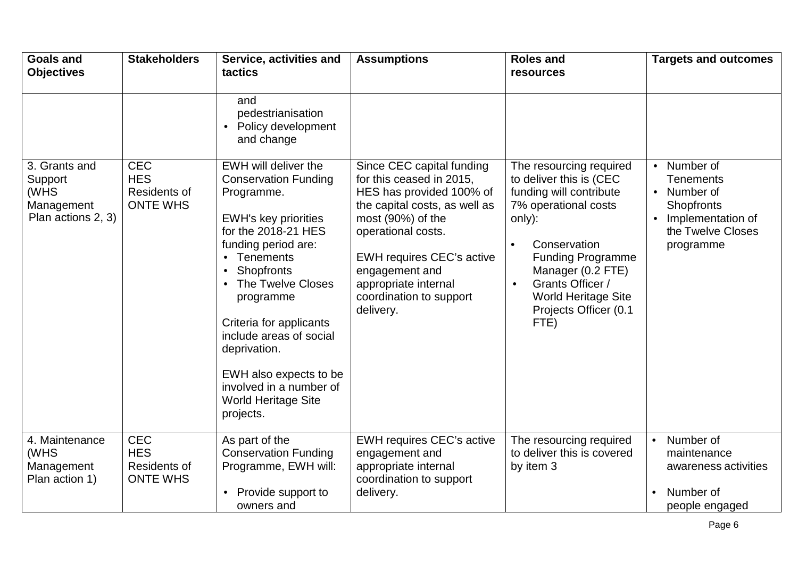| <b>Goals and</b><br><b>Objectives</b>                                | <b>Stakeholders</b>                                         | Service, activities and<br>tactics                                                                                                                                                                                                                                                                                                                                                  | <b>Assumptions</b>                                                                                                                                                                                                                                                                  | <b>Roles and</b><br>resources                                                                                                                                                                                                                                                                 | <b>Targets and outcomes</b>                                                                                                                            |
|----------------------------------------------------------------------|-------------------------------------------------------------|-------------------------------------------------------------------------------------------------------------------------------------------------------------------------------------------------------------------------------------------------------------------------------------------------------------------------------------------------------------------------------------|-------------------------------------------------------------------------------------------------------------------------------------------------------------------------------------------------------------------------------------------------------------------------------------|-----------------------------------------------------------------------------------------------------------------------------------------------------------------------------------------------------------------------------------------------------------------------------------------------|--------------------------------------------------------------------------------------------------------------------------------------------------------|
|                                                                      |                                                             | and<br>pedestrianisation<br>Policy development<br>$\bullet$<br>and change                                                                                                                                                                                                                                                                                                           |                                                                                                                                                                                                                                                                                     |                                                                                                                                                                                                                                                                                               |                                                                                                                                                        |
| 3. Grants and<br>Support<br>(WHS<br>Management<br>Plan actions 2, 3) | <b>CEC</b><br><b>HES</b><br>Residents of<br><b>ONTE WHS</b> | EWH will deliver the<br><b>Conservation Funding</b><br>Programme.<br><b>EWH's key priorities</b><br>for the 2018-21 HES<br>funding period are:<br>• Tenements<br>Shopfronts<br>The Twelve Closes<br>programme<br>Criteria for applicants<br>include areas of social<br>deprivation.<br>EWH also expects to be<br>involved in a number of<br><b>World Heritage Site</b><br>projects. | Since CEC capital funding<br>for this ceased in 2015,<br>HES has provided 100% of<br>the capital costs, as well as<br>most (90%) of the<br>operational costs.<br><b>EWH requires CEC's active</b><br>engagement and<br>appropriate internal<br>coordination to support<br>delivery. | The resourcing required<br>to deliver this is (CEC<br>funding will contribute<br>7% operational costs<br>only):<br>Conservation<br>$\bullet$<br><b>Funding Programme</b><br>Manager (0.2 FTE)<br>Grants Officer /<br>$\bullet$<br><b>World Heritage Site</b><br>Projects Officer (0.1<br>FTE) | Number of<br>$\bullet$<br><b>Tenements</b><br>Number of<br>$\bullet$<br>Shopfronts<br>Implementation of<br>$\bullet$<br>the Twelve Closes<br>programme |
| 4. Maintenance<br>(WHS<br>Management<br>Plan action 1)               | <b>CEC</b><br><b>HES</b><br>Residents of<br><b>ONTE WHS</b> | As part of the<br><b>Conservation Funding</b><br>Programme, EWH will:<br>Provide support to<br>owners and                                                                                                                                                                                                                                                                           | <b>EWH requires CEC's active</b><br>engagement and<br>appropriate internal<br>coordination to support<br>delivery.                                                                                                                                                                  | The resourcing required<br>to deliver this is covered<br>by item 3                                                                                                                                                                                                                            | Number of<br>$\bullet$<br>maintenance<br>awareness activities<br>Number of<br>people engaged                                                           |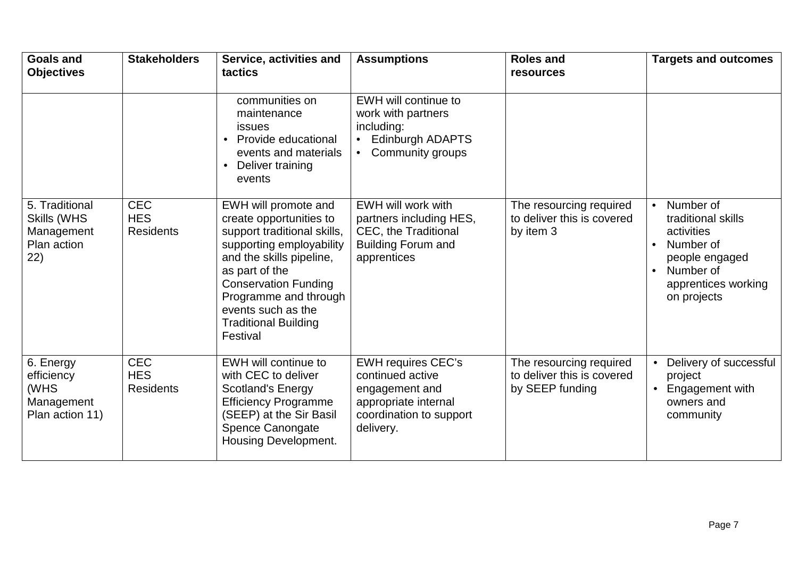| <b>Goals and</b><br><b>Objectives</b>                             | <b>Stakeholders</b>                          | Service, activities and<br>tactics                                                                                                                                                                                                                                                | <b>Assumptions</b>                                                                                                                | <b>Roles and</b><br>resources                                            | <b>Targets and outcomes</b>                                                                                                                                            |
|-------------------------------------------------------------------|----------------------------------------------|-----------------------------------------------------------------------------------------------------------------------------------------------------------------------------------------------------------------------------------------------------------------------------------|-----------------------------------------------------------------------------------------------------------------------------------|--------------------------------------------------------------------------|------------------------------------------------------------------------------------------------------------------------------------------------------------------------|
|                                                                   |                                              | communities on<br>maintenance<br><i>issues</i><br>Provide educational<br>events and materials<br>Deliver training<br>$\bullet$<br>events                                                                                                                                          | EWH will continue to<br>work with partners<br>including:<br><b>Edinburgh ADAPTS</b><br>$\bullet$<br>Community groups<br>$\bullet$ |                                                                          |                                                                                                                                                                        |
| 5. Traditional<br>Skills (WHS<br>Management<br>Plan action<br>22) | <b>CEC</b><br><b>HES</b><br><b>Residents</b> | EWH will promote and<br>create opportunities to<br>support traditional skills,<br>supporting employability<br>and the skills pipeline,<br>as part of the<br><b>Conservation Funding</b><br>Programme and through<br>events such as the<br><b>Traditional Building</b><br>Festival | EWH will work with<br>partners including HES,<br><b>CEC, the Traditional</b><br><b>Building Forum and</b><br>apprentices          | The resourcing required<br>to deliver this is covered<br>by item 3       | Number of<br>$\bullet$<br>traditional skills<br>activities<br>Number of<br>$\bullet$<br>people engaged<br>Number of<br>$\bullet$<br>apprentices working<br>on projects |
| 6. Energy<br>efficiency<br>(WHS<br>Management<br>Plan action 11)  | <b>CEC</b><br><b>HES</b><br><b>Residents</b> | EWH will continue to<br>with CEC to deliver<br><b>Scotland's Energy</b><br><b>Efficiency Programme</b><br>(SEEP) at the Sir Basil<br>Spence Canongate<br><b>Housing Development.</b>                                                                                              | <b>EWH requires CEC's</b><br>continued active<br>engagement and<br>appropriate internal<br>coordination to support<br>delivery.   | The resourcing required<br>to deliver this is covered<br>by SEEP funding | Delivery of successful<br>$\bullet$<br>project<br>Engagement with<br>$\bullet$<br>owners and<br>community                                                              |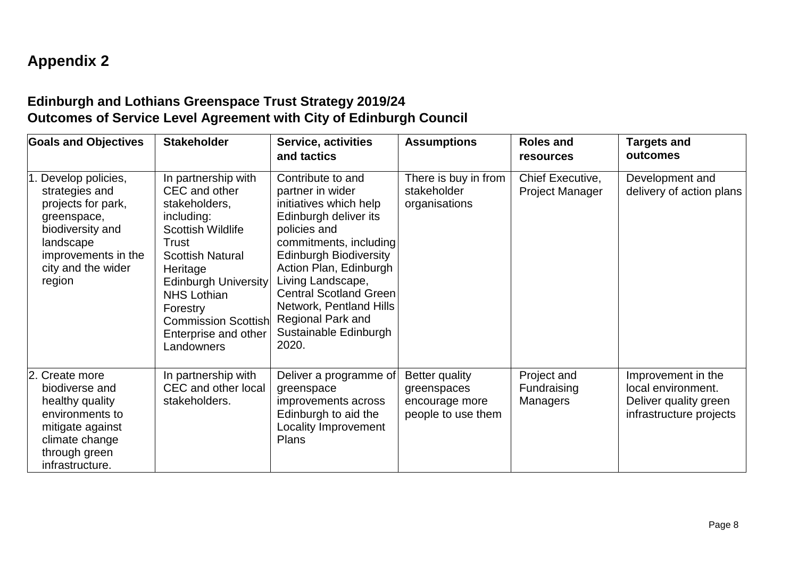## **Appendix 2**

## **Edinburgh and Lothians Greenspace Trust Strategy 2019/24 Outcomes of Service Level Agreement with City of Edinburgh Council**

| <b>Goals and Objectives</b>                                                                                                                                      | <b>Stakeholder</b>                                                                                                                                                                                                                                                                   | <b>Service, activities</b><br>and tactics                                                                                                                                                                                                                                                                                      | <b>Assumptions</b>                                                    | <b>Roles and</b><br><b>resources</b>       | <b>Targets and</b><br>outcomes                                                               |
|------------------------------------------------------------------------------------------------------------------------------------------------------------------|--------------------------------------------------------------------------------------------------------------------------------------------------------------------------------------------------------------------------------------------------------------------------------------|--------------------------------------------------------------------------------------------------------------------------------------------------------------------------------------------------------------------------------------------------------------------------------------------------------------------------------|-----------------------------------------------------------------------|--------------------------------------------|----------------------------------------------------------------------------------------------|
| Develop policies,<br>strategies and<br>projects for park,<br>greenspace,<br>biodiversity and<br>landscape<br>improvements in the<br>city and the wider<br>region | In partnership with<br>CEC and other<br>stakeholders,<br>including:<br><b>Scottish Wildlife</b><br>Trust<br><b>Scottish Natural</b><br>Heritage<br><b>Edinburgh University</b><br><b>NHS Lothian</b><br>Forestry<br><b>Commission Scottish</b><br>Enterprise and other<br>Landowners | Contribute to and<br>partner in wider<br>initiatives which help<br>Edinburgh deliver its<br>policies and<br>commitments, including<br><b>Edinburgh Biodiversity</b><br>Action Plan, Edinburgh<br>Living Landscape,<br>Central Scotland Green<br>Network, Pentland Hills<br>Regional Park and<br>Sustainable Edinburgh<br>2020. | There is buy in from<br>stakeholder<br>organisations                  | Chief Executive,<br><b>Project Manager</b> | Development and<br>delivery of action plans                                                  |
| 2. Create more<br>biodiverse and<br>healthy quality<br>environments to<br>mitigate against<br>climate change<br>through green<br>infrastructure.                 | In partnership with<br>CEC and other local<br>stakeholders.                                                                                                                                                                                                                          | Deliver a programme of<br>greenspace<br>improvements across<br>Edinburgh to aid the<br>Locality Improvement<br><b>Plans</b>                                                                                                                                                                                                    | Better quality<br>greenspaces<br>encourage more<br>people to use them | Project and<br>Fundraising<br>Managers     | Improvement in the<br>local environment.<br>Deliver quality green<br>infrastructure projects |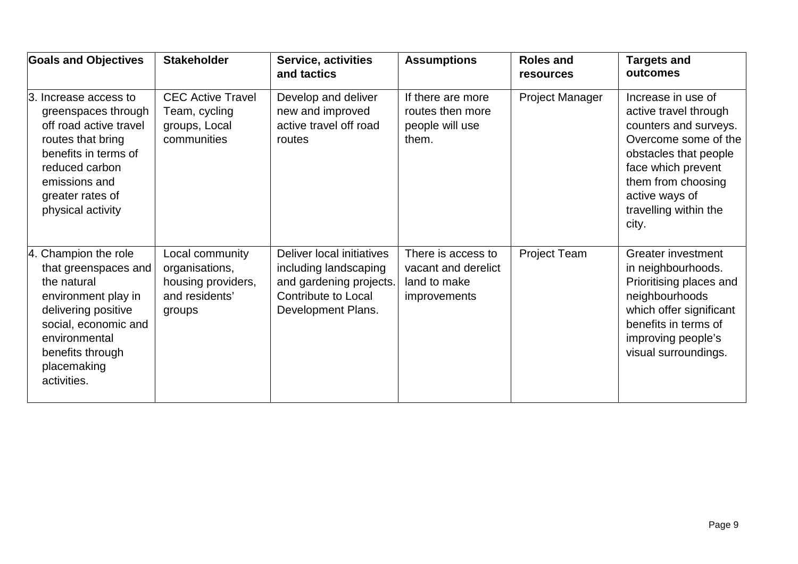| <b>Goals and Objectives</b>                                                                                                                                                                          | <b>Stakeholder</b>                                                                  | Service, activities<br>and tactics                                                                                                | <b>Assumptions</b>                                                        | <b>Roles and</b><br><b>resources</b> | <b>Targets and</b><br>outcomes                                                                                                                                                                                        |
|------------------------------------------------------------------------------------------------------------------------------------------------------------------------------------------------------|-------------------------------------------------------------------------------------|-----------------------------------------------------------------------------------------------------------------------------------|---------------------------------------------------------------------------|--------------------------------------|-----------------------------------------------------------------------------------------------------------------------------------------------------------------------------------------------------------------------|
| 3. Increase access to<br>greenspaces through<br>off road active travel<br>routes that bring<br>benefits in terms of<br>reduced carbon<br>emissions and<br>greater rates of<br>physical activity      | <b>CEC Active Travel</b><br>Team, cycling<br>groups, Local<br>communities           | Develop and deliver<br>new and improved<br>active travel off road<br>routes                                                       | If there are more<br>routes then more<br>people will use<br>them.         | <b>Project Manager</b>               | Increase in use of<br>active travel through<br>counters and surveys.<br>Overcome some of the<br>obstacles that people<br>face which prevent<br>them from choosing<br>active ways of<br>travelling within the<br>city. |
| 4. Champion the role<br>that greenspaces and<br>the natural<br>environment play in<br>delivering positive<br>social, economic and<br>environmental<br>benefits through<br>placemaking<br>activities. | Local community<br>organisations,<br>housing providers,<br>and residents'<br>groups | Deliver local initiatives<br>including landscaping<br>and gardening projects.<br><b>Contribute to Local</b><br>Development Plans. | There is access to<br>vacant and derelict<br>land to make<br>improvements | <b>Project Team</b>                  | <b>Greater investment</b><br>in neighbourhoods.<br>Prioritising places and<br>neighbourhoods<br>which offer significant<br>benefits in terms of<br>improving people's<br>visual surroundings.                         |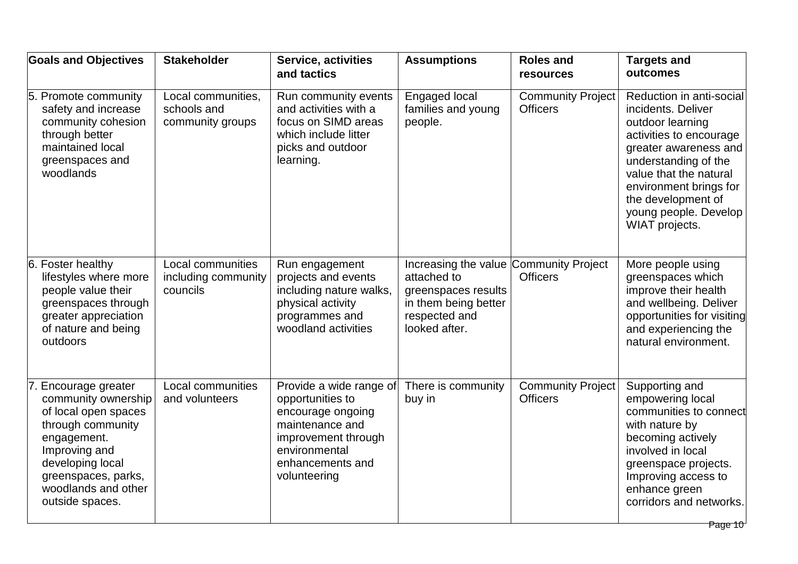| Local communities,<br>Run community events<br>Engaged local<br><b>Community Project</b><br>5. Promote community<br>safety and increase<br>schools and<br>and activities with a<br><b>Officers</b><br>families and young<br>incidents. Deliver<br>focus on SIMD areas<br>community cohesion<br>community groups<br>people.<br>outdoor learning<br>through better<br>which include litter<br>maintained local<br>picks and outdoor<br>learning.<br>greenspaces and<br>understanding of the<br>woodlands<br>value that the natural<br>the development of<br>WIAT projects.<br>6. Foster healthy<br>Local communities<br>Increasing the value Community Project<br>More people using<br>Run engagement<br>projects and events<br>attached to<br><b>Officers</b><br>lifestyles where more<br>including community<br>greenspaces which<br>people value their<br>councils<br>including nature walks,<br>improve their health<br>greenspaces results<br>physical activity<br>in them being better<br>greenspaces through<br>greater appreciation<br>programmes and<br>respected and<br>of nature and being<br>woodland activities<br>looked after.<br>and experiencing the<br>outdoors<br>natural environment.<br>Provide a wide range of<br>Supporting and<br>Encourage greater<br>Local communities<br>There is community<br><b>Community Project</b><br><b>Officers</b><br>community ownership<br>opportunities to<br>buy in<br>empowering local<br>and volunteers<br>of local open spaces<br>encourage ongoing<br>through community<br>maintenance and<br>with nature by<br>becoming actively<br>engagement.<br>improvement through<br>environmental<br>Improving and<br>involved in local<br>developing local<br>enhancements and<br>greenspace projects.<br>greenspaces, parks,<br>volunteering<br>Improving access to<br>woodlands and other<br>enhance green<br>outside spaces. | <b>Goals and Objectives</b> | <b>Stakeholder</b> | <b>Service, activities</b><br>and tactics | <b>Assumptions</b> | <b>Roles and</b><br><b>resources</b> | <b>Targets and</b><br>outcomes                                                                                                  |
|---------------------------------------------------------------------------------------------------------------------------------------------------------------------------------------------------------------------------------------------------------------------------------------------------------------------------------------------------------------------------------------------------------------------------------------------------------------------------------------------------------------------------------------------------------------------------------------------------------------------------------------------------------------------------------------------------------------------------------------------------------------------------------------------------------------------------------------------------------------------------------------------------------------------------------------------------------------------------------------------------------------------------------------------------------------------------------------------------------------------------------------------------------------------------------------------------------------------------------------------------------------------------------------------------------------------------------------------------------------------------------------------------------------------------------------------------------------------------------------------------------------------------------------------------------------------------------------------------------------------------------------------------------------------------------------------------------------------------------------------------------------------------------------------------------------------------------------------------------------------------------|-----------------------------|--------------------|-------------------------------------------|--------------------|--------------------------------------|---------------------------------------------------------------------------------------------------------------------------------|
|                                                                                                                                                                                                                                                                                                                                                                                                                                                                                                                                                                                                                                                                                                                                                                                                                                                                                                                                                                                                                                                                                                                                                                                                                                                                                                                                                                                                                                                                                                                                                                                                                                                                                                                                                                                                                                                                                 |                             |                    |                                           |                    |                                      | Reduction in anti-social<br>activities to encourage<br>greater awareness and<br>environment brings for<br>young people. Develop |
|                                                                                                                                                                                                                                                                                                                                                                                                                                                                                                                                                                                                                                                                                                                                                                                                                                                                                                                                                                                                                                                                                                                                                                                                                                                                                                                                                                                                                                                                                                                                                                                                                                                                                                                                                                                                                                                                                 |                             |                    |                                           |                    |                                      | and wellbeing. Deliver<br>opportunities for visiting                                                                            |
|                                                                                                                                                                                                                                                                                                                                                                                                                                                                                                                                                                                                                                                                                                                                                                                                                                                                                                                                                                                                                                                                                                                                                                                                                                                                                                                                                                                                                                                                                                                                                                                                                                                                                                                                                                                                                                                                                 |                             |                    |                                           |                    |                                      | communities to connect<br>corridors and networks.<br>Page 10                                                                    |